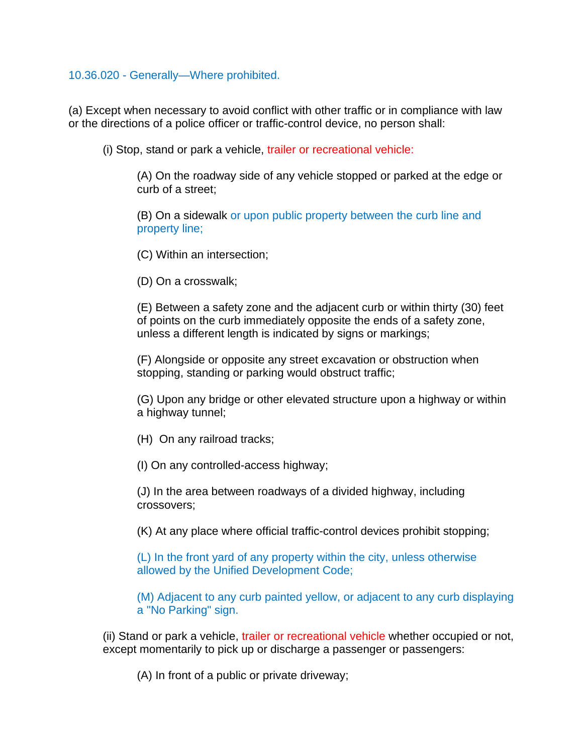## 10.36.020 - Generally—Where prohibited.

(a) Except when necessary to avoid conflict with other traffic or in compliance with law or the directions of a police officer or traffic-control device, no person shall:

(i) Stop, stand or park a vehicle, trailer or recreational vehicle:

(A) On the roadway side of any vehicle stopped or parked at the edge or curb of a street;

(B) On a sidewalk or upon public property between the curb line and property line;

(C) Within an intersection;

(D) On a crosswalk;

(E) Between a safety zone and the adjacent curb or within thirty (30) feet of points on the curb immediately opposite the ends of a safety zone, unless a different length is indicated by signs or markings;

(F) Alongside or opposite any street excavation or obstruction when stopping, standing or parking would obstruct traffic;

(G) Upon any bridge or other elevated structure upon a highway or within a highway tunnel;

(H) On any railroad tracks;

(I) On any controlled-access highway;

(J) In the area between roadways of a divided highway, including crossovers;

(K) At any place where official traffic-control devices prohibit stopping;

(L) In the front yard of any property within the city, unless otherwise allowed by the Unified Development Code;

(M) Adjacent to any curb painted yellow, or adjacent to any curb displaying a "No Parking" sign.

(ii) Stand or park a vehicle, trailer or recreational vehicle whether occupied or not, except momentarily to pick up or discharge a passenger or passengers:

(A) In front of a public or private driveway;